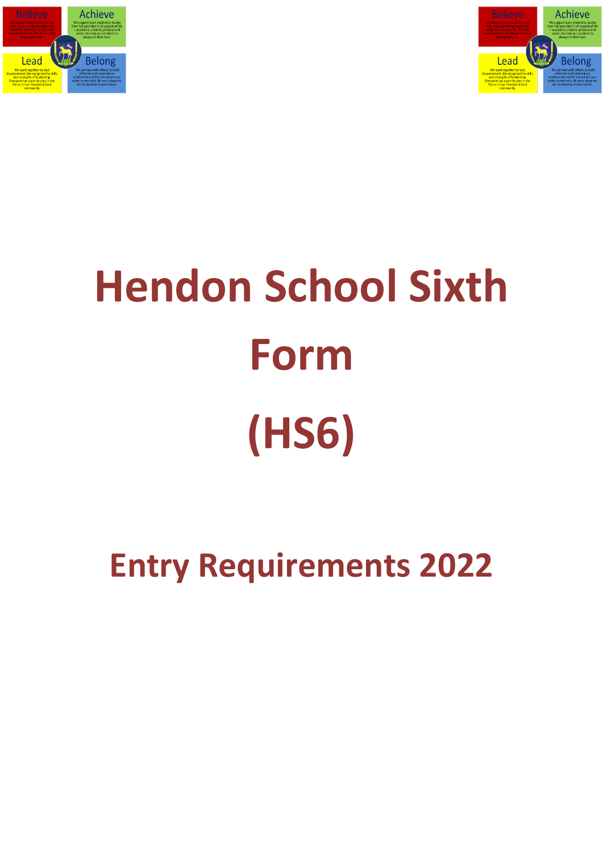



# **Hendon School Sixth Form (HS6)**

## **Entry Requirements 2022**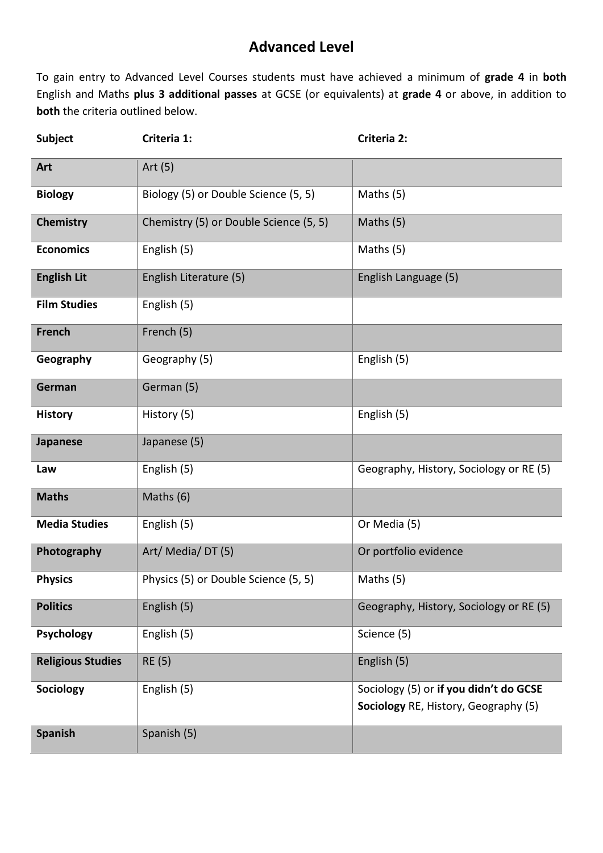### **Advanced Level**

To gain entry to Advanced Level Courses students must have achieved a minimum of **grade 4** in **both** English and Maths **plus 3 additional passes** at GCSE (or equivalents) at **grade 4** or above, in addition to **both** the criteria outlined below.

| <b>Subject</b>           | Criteria 1:                            | Criteria 2:                                                                    |
|--------------------------|----------------------------------------|--------------------------------------------------------------------------------|
| Art                      | Art $(5)$                              |                                                                                |
| <b>Biology</b>           | Biology (5) or Double Science (5, 5)   | Maths (5)                                                                      |
| Chemistry                | Chemistry (5) or Double Science (5, 5) | Maths (5)                                                                      |
| <b>Economics</b>         | English (5)                            | Maths (5)                                                                      |
| <b>English Lit</b>       | English Literature (5)                 | English Language (5)                                                           |
| <b>Film Studies</b>      | English (5)                            |                                                                                |
| <b>French</b>            | French (5)                             |                                                                                |
| Geography                | Geography (5)                          | English (5)                                                                    |
| German                   | German (5)                             |                                                                                |
| <b>History</b>           | History (5)                            | English (5)                                                                    |
| <b>Japanese</b>          | Japanese (5)                           |                                                                                |
| Law                      | English (5)                            | Geography, History, Sociology or RE (5)                                        |
| <b>Maths</b>             | Maths (6)                              |                                                                                |
| <b>Media Studies</b>     | English (5)                            | Or Media (5)                                                                   |
| Photography              | Art/Media/DT(5)                        | Or portfolio evidence                                                          |
| <b>Physics</b>           | Physics (5) or Double Science (5, 5)   | Maths $(5)$                                                                    |
| <b>Politics</b>          | English (5)                            | Geography, History, Sociology or RE (5)                                        |
| <b>Psychology</b>        | English (5)                            | Science (5)                                                                    |
| <b>Religious Studies</b> | <b>RE (5)</b>                          | English (5)                                                                    |
| Sociology                | English (5)                            | Sociology (5) or if you didn't do GCSE<br>Sociology RE, History, Geography (5) |
| <b>Spanish</b>           | Spanish (5)                            |                                                                                |